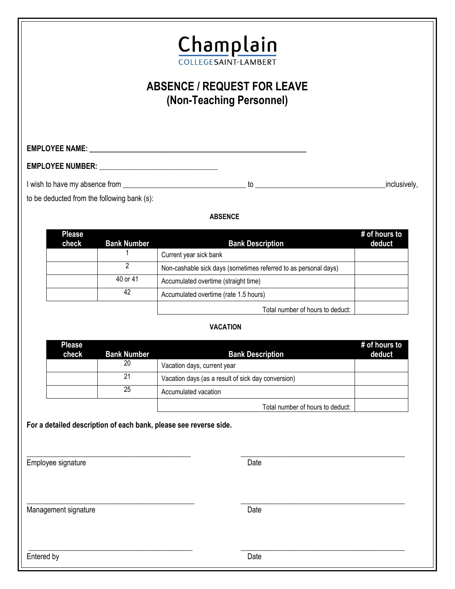

# **ABSENCE / REQUEST FOR LEAVE (Non-Teaching Personnel)**

**EMPLOYEE NAME: \_\_\_\_\_\_\_\_\_\_\_\_\_\_\_\_\_\_\_\_\_\_\_\_\_\_\_\_\_\_\_\_\_\_\_\_\_\_\_\_\_\_\_\_\_\_\_\_\_\_\_\_\_\_\_\_\_\_\_\_\_\_\_\_**

**EMPLOYEE NUMBER: \_\_\_\_\_\_\_\_\_\_\_\_\_\_\_\_\_\_\_\_\_\_\_\_\_\_\_\_\_\_\_\_\_\_\_**

I wish to have my absence from \_\_\_\_\_\_\_\_\_\_\_\_\_\_\_\_\_\_\_\_\_\_\_\_\_\_\_\_\_\_\_\_\_ to \_\_\_\_\_\_\_\_\_\_\_\_\_\_\_\_\_\_\_\_\_\_\_\_\_\_\_\_\_\_\_\_\_\_\_inclusively,

to be deducted from the following bank (s):

#### **ABSENCE**

| <b>Please</b><br>check | <b>Bank Number</b> | <b>Bank Description</b>                                         | # of hours to<br>deduct |
|------------------------|--------------------|-----------------------------------------------------------------|-------------------------|
|                        |                    | Current year sick bank                                          |                         |
|                        |                    | Non-cashable sick days (sometimes referred to as personal days) |                         |
|                        | 40 or 41           | Accumulated overtime (straight time)                            |                         |
|                        | 42                 | Accumulated overtime (rate 1.5 hours)                           |                         |
|                        |                    | Total number of hours to deduct:                                |                         |

#### **VACATION**

| <b>Please</b><br>check | <b>Bank Number</b> | <b>Bank Description</b>                            | # of hours to<br>deduct |
|------------------------|--------------------|----------------------------------------------------|-------------------------|
|                        | 20                 | Vacation days, current year                        |                         |
|                        | 21                 | Vacation days (as a result of sick day conversion) |                         |
|                        | 25                 | Accumulated vacation                               |                         |
|                        |                    | Total number of hours to deduct:                   |                         |

 $\_$  , and the set of the set of the set of the set of the set of the set of the set of the set of the set of the set of the set of the set of the set of the set of the set of the set of the set of the set of the set of th

\_\_\_\_\_\_\_\_\_\_\_\_\_\_\_\_\_\_\_\_\_\_\_\_\_\_\_\_\_\_\_\_\_\_\_\_\_\_\_\_\_\_\_\_ \_\_\_\_\_\_\_\_\_\_\_\_\_\_\_\_\_\_\_\_\_\_\_\_\_\_\_\_\_\_\_\_\_\_\_\_\_\_\_\_\_\_\_\_

**For a detailed description of each bank, please see reverse side.**

Employee signature Date Date Contract and Date Date Date

Management signature Date Date

 $\_$  , and the set of the set of the set of the set of the set of the set of the set of the set of the set of the set of the set of the set of the set of the set of the set of the set of the set of the set of the set of th

Entered by Date